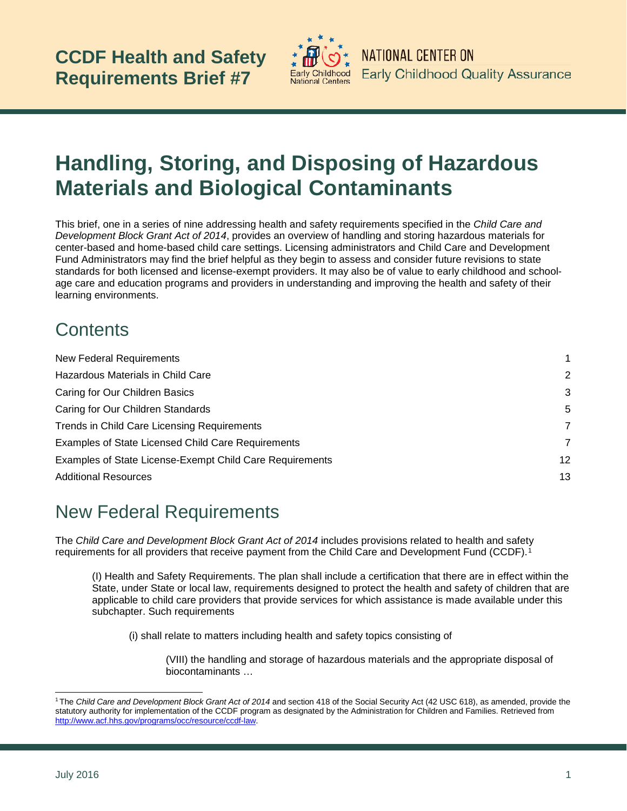

# **Handling, Storing, and Disposing of Hazardous Materials and Biological Contaminants**

This brief, one in a series of nine addressing health and safety requirements specified in the *Child Care and Development Block Grant Act of 2014*, provides an overview of handling and storing hazardous materials for center-based and home-based child care settings. Licensing administrators and Child Care and Development Fund Administrators may find the brief helpful as they begin to assess and consider future revisions to state standards for both licensed and license-exempt providers. It may also be of value to early childhood and schoolage care and education programs and providers in understanding and improving the health and safety of their learning environments.

# **Contents**

| <b>New Federal Requirements</b>                                 | 1  |
|-----------------------------------------------------------------|----|
| Hazardous Materials in Child Care                               | 2  |
| Caring for Our Children Basics                                  | 3  |
| Caring for Our Children Standards                               | 5  |
| Trends in Child Care Licensing Requirements                     | 7  |
| Examples of State Licensed Child Care Requirements              | 7  |
| <b>Examples of State License-Exempt Child Care Requirements</b> | 12 |
| <b>Additional Resources</b>                                     | 13 |

# <span id="page-0-0"></span>New Federal Requirements

The *Child Care and Development Block Grant Act of 2014* includes provisions related to health and safety requirements for all providers that receive payment from the Child Care and Development Fund (CCDF).[1](#page-0-1)

(I) Health and Safety Requirements. The plan shall include a certification that there are in effect within the State, under State or local law, requirements designed to protect the health and safety of children that are applicable to child care providers that provide services for which assistance is made available under this subchapter. Such requirements

(i) shall relate to matters including health and safety topics consisting of

(VIII) the handling and storage of hazardous materials and the appropriate disposal of biocontaminants …

-

<span id="page-0-1"></span><sup>1</sup> The *Child Care and Development Block Grant Act of 2014* and section 418 of the Social Security Act (42 USC 618), as amended, provide the statutory authority for implementation of the CCDF program as designated by the Administration for Children and Families. Retrieved from [http://www.acf.hhs.gov/programs/occ/resource/ccdf-law.](http://www.acf.hhs.gov/programs/occ/resource/ccdf-law)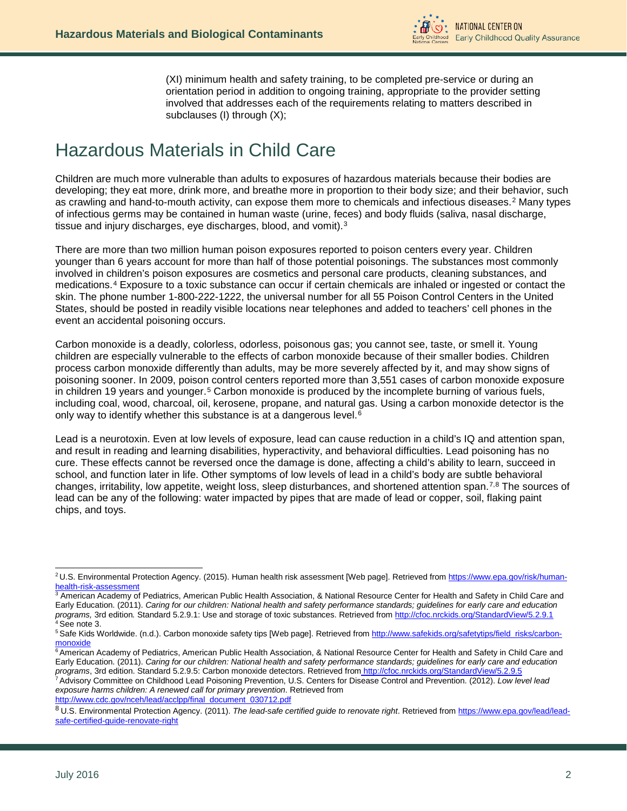

(XI) minimum health and safety training, to be completed pre-service or during an orientation period in addition to ongoing training, appropriate to the provider setting involved that addresses each of the requirements relating to matters described in subclauses (I) through (X);

# <span id="page-1-0"></span>Hazardous Materials in Child Care

Children are much more vulnerable than adults to exposures of hazardous materials because their bodies are developing; they eat more, drink more, and breathe more in proportion to their body size; and their behavior, such as crawling and hand-to-mouth activity, can expose them more to chemicals and infectious diseases.[2](#page-1-1) Many types of infectious germs may be contained in human waste (urine, feces) and body fluids (saliva, nasal discharge, tissue and injury discharges, eye discharges, blood, and vomit).[3](#page-1-2)

There are more than two million human poison exposures reported to poison centers every year. Children younger than 6 years account for more than half of those potential poisonings. The substances most commonly involved in children's poison exposures are cosmetics and personal care products, cleaning substances, and medications.[4](#page-1-3) Exposure to a toxic substance can occur if certain chemicals are inhaled or ingested or contact the skin. The phone number 1-800-222-1222, the universal number for all 55 Poison Control Centers in the United States, should be posted in readily visible locations near telephones and added to teachers' cell phones in the event an accidental poisoning occurs.

Carbon monoxide is a deadly, colorless, odorless, poisonous gas; you cannot see, taste, or smell it. Young children are especially vulnerable to the effects of carbon monoxide because of their smaller bodies. Children process carbon monoxide differently than adults, may be more severely affected by it, and may show signs of poisoning sooner. In 2009, poison control centers reported more than 3,551 cases of carbon monoxide exposure in children 19 years and younger.<sup>[5](#page-1-4)</sup> Carbon monoxide is produced by the incomplete burning of various fuels, including coal, wood, charcoal, oil, kerosene, propane, and natural gas. Using a carbon monoxide detector is the only way to identify whether this substance is at a dangerous level.<sup>[6](#page-1-5)</sup>

Lead is a neurotoxin. Even at low levels of exposure, lead can cause reduction in a child's IQ and attention span, and result in reading and learning disabilities, hyperactivity, and behavioral difficulties. Lead poisoning has no cure. These effects cannot be reversed once the damage is done, affecting a child's ability to learn, succeed in school, and function later in life. Other symptoms of low levels of lead in a child's body are subtle behavioral changes, irritability, low appetite, weight loss, sleep disturbances, and shortened attention span.[7,](#page-1-6)[8](#page-1-7) The sources of lead can be any of the following: water impacted by pipes that are made of lead or copper, soil, flaking paint chips, and toys.

<span id="page-1-1"></span><sup>&</sup>lt;sup>2</sup>U.S. Environmental Protection Agency. (2015). Human health risk assessment [Web page]. Retrieved from https://www.epa.gov/risk/humanhealth-risk-assessment -

<span id="page-1-2"></span><sup>&</sup>lt;sup>3</sup> American Academy of Pediatrics, American Public Health Association, & National Resource Center for Health and Safety in Child Care and Early Education. (2011). *Caring for our children: National health and safety performance standards; guidelines for early care and education programs, 3rd edition. Standard 5.2.9.1: Use and storage of toxic substances. Ret* <sup>4</sup> See note 3.<br><sup>5</sup> Safe Kids Worldwide. (n.d.). Carbon monoxide safety tips [Web page]. Retrieved from <u>http://www.safekids.org/safetytips/field\_risks/carbon-</u>

<span id="page-1-4"></span><span id="page-1-3"></span>[monoxide](http://www.safekids.org/safetytips/field_risks/carbon-monoxide)

<span id="page-1-5"></span><sup>&</sup>lt;sup>6</sup> American Academy of Pediatrics, American Public Health Association, & National Resource Center for Health and Safety in Child Care and Early Education. (2011). *Caring for our children: National health and safety performance standards; guidelines for early care and education programs*, 3rd edition. Standard 5.2.9.5: Carbon monoxide detectors. Retrieved from <http://cfoc.nrckids.org/StandardView/5.2.9.5>

<span id="page-1-6"></span><sup>7</sup> Advisory Committee on Childhood Lead Poisoning Prevention, U.S. Centers for Disease Control and Prevention. (2012). *Low level lead exposure harms children: A renewed call for primary prevention*. Retrieved from [http://www.cdc.gov/nceh/lead/acclpp/final\\_document\\_030712.pdf](http://www.cdc.gov/nceh/lead/acclpp/final_document_030712.pdf)

<span id="page-1-7"></span><sup>8</sup> U.S. Environmental Protection Agency. (2011). The lead-safe certified guide to renovate right. Retrieved from [https://www.epa.gov/lead/lead](https://www.epa.gov/lead/lead-safe-certified-guide-renovate-right)[safe-certified-guide-renovate-right](https://www.epa.gov/lead/lead-safe-certified-guide-renovate-right)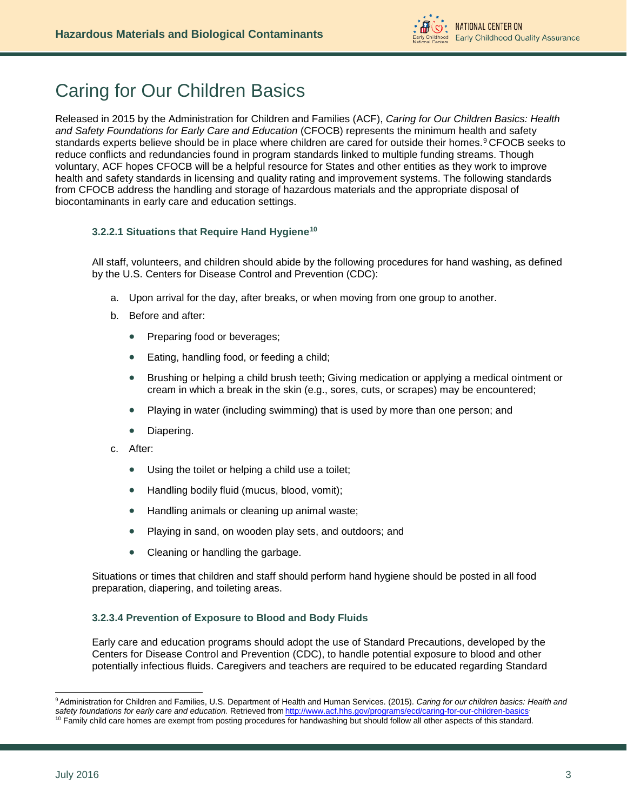# <span id="page-2-0"></span>Caring for Our Children Basics

Released in 2015 by the Administration for Children and Families (ACF), *Caring for Our Children Basics: Health and Safety Foundations for Early Care and Education* (CFOCB) represents the minimum health and safety standards experts believe should be in place where children are cared for outside their homes.<sup>[9](#page-2-1)</sup> CFOCB seeks to reduce conflicts and redundancies found in program standards linked to multiple funding streams. Though voluntary, ACF hopes CFOCB will be a helpful resource for States and other entities as they work to improve health and safety standards in licensing and quality rating and improvement systems. The following standards from CFOCB address the handling and storage of hazardous materials and the appropriate disposal of biocontaminants in early care and education settings.

# **3.2.2.1 Situations that Require Hand Hygiene[10](#page-2-2)**

All staff, volunteers, and children should abide by the following procedures for hand washing, as defined by the U.S. Centers for Disease Control and Prevention (CDC):

- a. Upon arrival for the day, after breaks, or when moving from one group to another.
- b. Before and after:
	- Preparing food or beverages;
	- Eating, handling food, or feeding a child;
	- Brushing or helping a child brush teeth; Giving medication or applying a medical ointment or cream in which a break in the skin (e.g., sores, cuts, or scrapes) may be encountered;
	- Playing in water (including swimming) that is used by more than one person; and
	- Diapering.
- c. After:
	- Using the toilet or helping a child use a toilet;
	- Handling bodily fluid (mucus, blood, vomit);
	- Handling animals or cleaning up animal waste;
	- Playing in sand, on wooden play sets, and outdoors; and
	- Cleaning or handling the garbage.

Situations or times that children and staff should perform hand hygiene should be posted in all food preparation, diapering, and toileting areas.

# **3.2.3.4 Prevention of Exposure to Blood and Body Fluids**

Early care and education programs should adopt the use of Standard Precautions, developed by the Centers for Disease Control and Prevention (CDC), to handle potential exposure to blood and other potentially infectious fluids. Caregivers and teachers are required to be educated regarding Standard

<span id="page-2-1"></span><sup>9</sup> Administration for Children and Families, U.S. Department of Health and Human Services. (2015). *Caring for our children basics: Health and safety foundations for early care and education.* Retrieved from [http://www.acf.hhs.gov/programs/ecd/caring-for-our-children-basics.](http://www.acf.hhs.gov/programs/ecd/caring-for-our-children-basics)  -

<span id="page-2-2"></span> $10$  Family child care homes are exempt from posting procedures for handwashing but should follow all other aspects of this standard.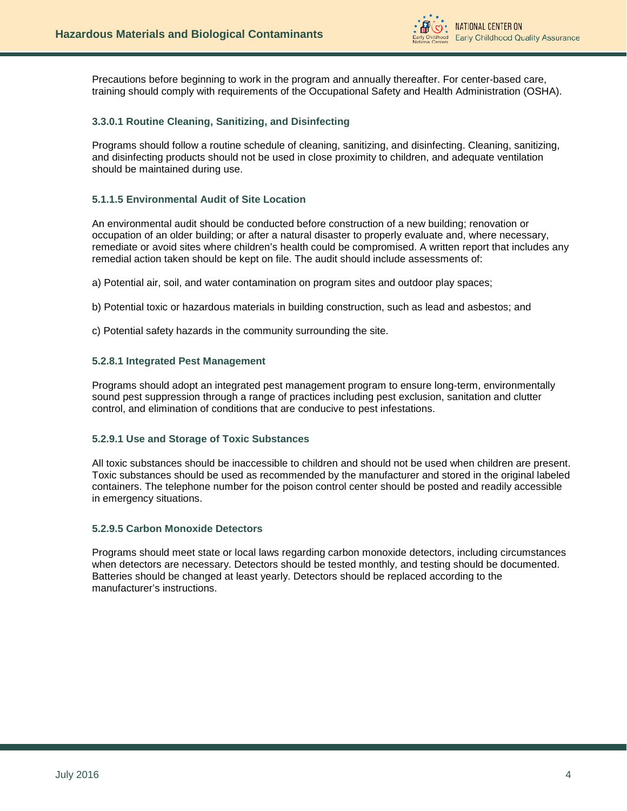

Precautions before beginning to work in the program and annually thereafter. For center-based care, training should comply with requirements of the Occupational Safety and Health Administration (OSHA).

# **3.3.0.1 Routine Cleaning, Sanitizing, and Disinfecting**

Programs should follow a routine schedule of cleaning, sanitizing, and disinfecting. Cleaning, sanitizing, and disinfecting products should not be used in close proximity to children, and adequate ventilation should be maintained during use.

# **5.1.1.5 Environmental Audit of Site Location**

An environmental audit should be conducted before construction of a new building; renovation or occupation of an older building; or after a natural disaster to properly evaluate and, where necessary, remediate or avoid sites where children's health could be compromised. A written report that includes any remedial action taken should be kept on file. The audit should include assessments of:

a) Potential air, soil, and water contamination on program sites and outdoor play spaces;

- b) Potential toxic or hazardous materials in building construction, such as lead and asbestos; and
- c) Potential safety hazards in the community surrounding the site.

### **5.2.8.1 Integrated Pest Management**

Programs should adopt an integrated pest management program to ensure long-term, environmentally sound pest suppression through a range of practices including pest exclusion, sanitation and clutter control, and elimination of conditions that are conducive to pest infestations.

# **5.2.9.1 Use and Storage of Toxic Substances**

All toxic substances should be inaccessible to children and should not be used when children are present. Toxic substances should be used as recommended by the manufacturer and stored in the original labeled containers. The telephone number for the poison control center should be posted and readily accessible in emergency situations.

# **5.2.9.5 Carbon Monoxide Detectors**

Programs should meet state or local laws regarding carbon monoxide detectors, including circumstances when detectors are necessary. Detectors should be tested monthly, and testing should be documented. Batteries should be changed at least yearly. Detectors should be replaced according to the manufacturer's instructions.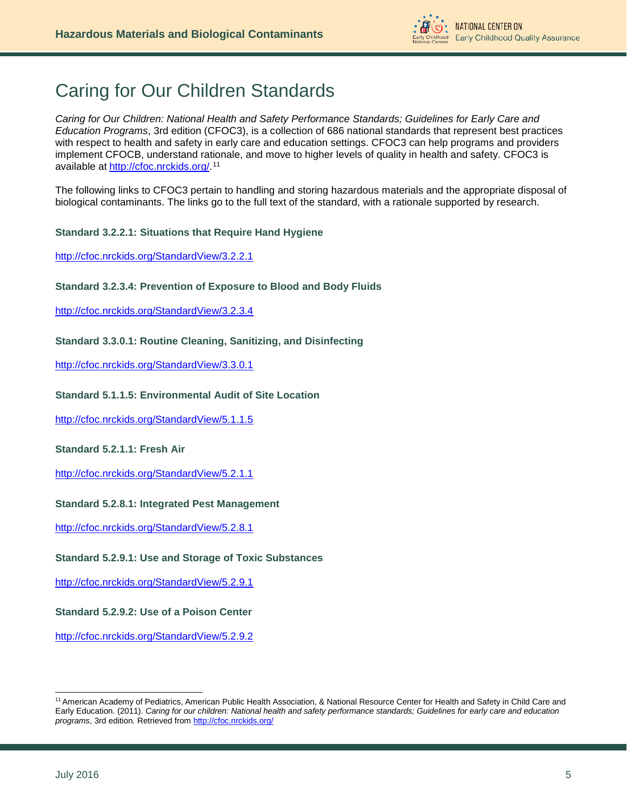

# <span id="page-4-0"></span>Caring for Our Children Standards

*Caring for Our Children: National Health and Safety Performance Standards; Guidelines for Early Care and Education Programs*, 3rd edition (CFOC3), is a collection of 686 national standards that represent best practices with respect to health and safety in early care and education settings. CFOC3 can help programs and providers implement CFOCB, understand rationale, and move to higher levels of quality in health and safety. CFOC3 is available at [http://cfoc.nrckids.org/.](http://cfoc.nrckids.org/)<sup>[11](#page-4-1)</sup>

The following links to CFOC3 pertain to handling and storing hazardous materials and the appropriate disposal of biological contaminants. The links go to the full text of the standard, with a rationale supported by research.

# **Standard 3.2.2.1: Situations that Require Hand Hygiene**

<http://cfoc.nrckids.org/StandardView/3.2.2.1>

# **Standard 3.2.3.4: Prevention of Exposure to Blood and Body Fluids**

<http://cfoc.nrckids.org/StandardView/3.2.3.4>

# **Standard 3.3.0.1: Routine Cleaning, Sanitizing, and Disinfecting**

<http://cfoc.nrckids.org/StandardView/3.3.0.1>

# **Standard 5.1.1.5: Environmental Audit of Site Location**

<http://cfoc.nrckids.org/StandardView/5.1.1.5>

# **Standard 5.2.1.1: Fresh Air**

<http://cfoc.nrckids.org/StandardView/5.2.1.1>

# **Standard 5.2.8.1: Integrated Pest Management**

<http://cfoc.nrckids.org/StandardView/5.2.8.1>

# **Standard 5.2.9.1: Use and Storage of Toxic Substances**

<http://cfoc.nrckids.org/StandardView/5.2.9.1>

# **Standard 5.2.9.2: Use of a Poison Center**

<http://cfoc.nrckids.org/StandardView/5.2.9.2>

-

<span id="page-4-1"></span><sup>11</sup> American Academy of Pediatrics, American Public Health Association, & National Resource Center for Health and Safety in Child Care and Early Education. (2011). *Caring for our children: National health and safety performance standards; Guidelines for early care and education programs*, 3rd edition*.* Retrieved fro[m http://cfoc.nrckids.org/](http://cfoc.nrckids.org/)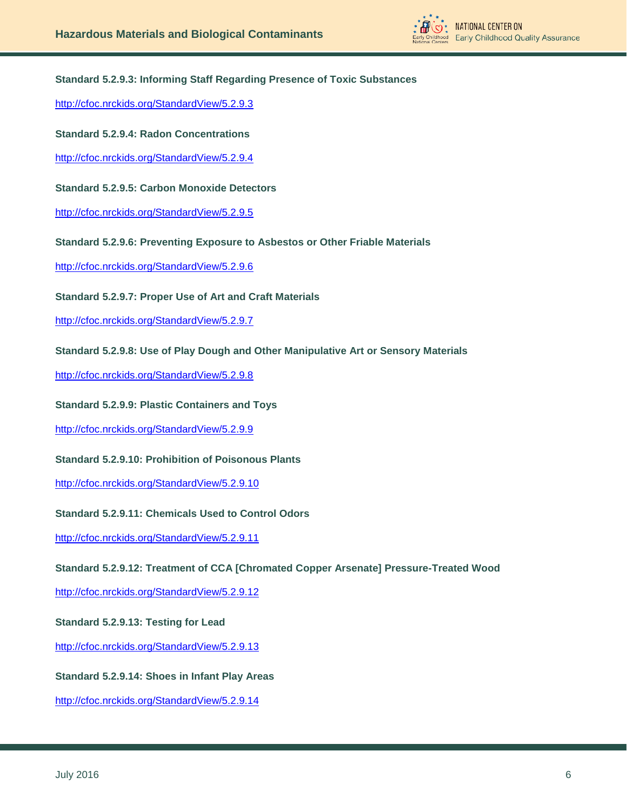

# **Standard 5.2.9.3: Informing Staff Regarding Presence of Toxic Substances**

<http://cfoc.nrckids.org/StandardView/5.2.9.3>

### **Standard 5.2.9.4: Radon Concentrations**

<http://cfoc.nrckids.org/StandardView/5.2.9.4>

### **Standard 5.2.9.5: Carbon Monoxide Detectors**

<http://cfoc.nrckids.org/StandardView/5.2.9.5>

### **Standard 5.2.9.6: Preventing Exposure to Asbestos or Other Friable Materials**

<http://cfoc.nrckids.org/StandardView/5.2.9.6>

### **Standard 5.2.9.7: Proper Use of Art and Craft Materials**

<http://cfoc.nrckids.org/StandardView/5.2.9.7>

# **Standard 5.2.9.8: Use of Play Dough and Other Manipulative Art or Sensory Materials**

<http://cfoc.nrckids.org/StandardView/5.2.9.8>

### **Standard 5.2.9.9: Plastic Containers and Toys**

<http://cfoc.nrckids.org/StandardView/5.2.9.9>

# **Standard 5.2.9.10: Prohibition of Poisonous Plants**

<http://cfoc.nrckids.org/StandardView/5.2.9.10>

# **Standard 5.2.9.11: Chemicals Used to Control Odors**

<http://cfoc.nrckids.org/StandardView/5.2.9.11>

#### **Standard 5.2.9.12: Treatment of CCA [Chromated Copper Arsenate] Pressure-Treated Wood**

<http://cfoc.nrckids.org/StandardView/5.2.9.12>

# **Standard 5.2.9.13: Testing for Lead**

<http://cfoc.nrckids.org/StandardView/5.2.9.13>

# **Standard 5.2.9.14: Shoes in Infant Play Areas**

<http://cfoc.nrckids.org/StandardView/5.2.9.14>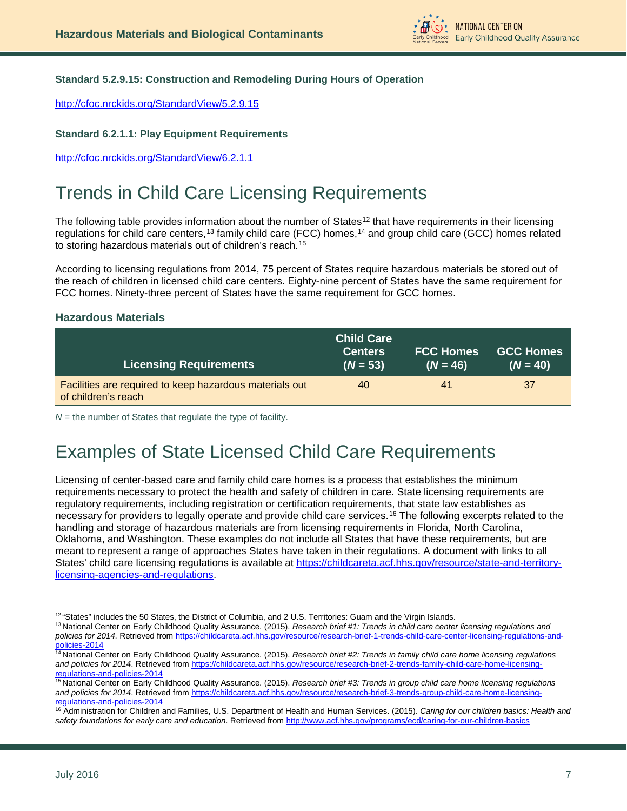

# **Standard 5.2.9.15: Construction and Remodeling During Hours of Operation**

<http://cfoc.nrckids.org/StandardView/5.2.9.15>

# **Standard 6.2.1.1: Play Equipment Requirements**

<http://cfoc.nrckids.org/StandardView/6.2.1.1>

# <span id="page-6-0"></span>Trends in Child Care Licensing Requirements

The following table provides information about the number of States<sup>[12](#page-6-2)</sup> that have requirements in their licensing regulations for child care centers,[13](#page-6-3) family child care (FCC) homes,[14](#page-6-4) and group child care (GCC) homes related to storing hazardous materials out of children's reach.[15](#page-6-5)

According to licensing regulations from 2014, 75 percent of States require hazardous materials be stored out of the reach of children in licensed child care centers. Eighty-nine percent of States have the same requirement for FCC homes. Ninety-three percent of States have the same requirement for GCC homes.

# **Hazardous Materials**

| <b>Licensing Requirements</b>                                                  | <b>Child Care</b><br><b>Centers</b><br>$(N = 53)$ | <b>FCC Homes</b><br>$(N = 46)$ | <b>GCC Homes</b><br>$(N = 40)$ |
|--------------------------------------------------------------------------------|---------------------------------------------------|--------------------------------|--------------------------------|
| Facilities are required to keep hazardous materials out<br>of children's reach | 40                                                | 41                             | 37                             |

*N* = the number of States that regulate the type of facility.

# <span id="page-6-1"></span>Examples of State Licensed Child Care Requirements

Licensing of center-based care and family child care homes is a process that establishes the minimum requirements necessary to protect the health and safety of children in care. State licensing requirements are regulatory requirements, including registration or certification requirements, that state law establishes as necessary for providers to legally operate and provide child care services.[16](#page-6-6) The following excerpts related to the handling and storage of hazardous materials are from licensing requirements in Florida, North Carolina, Oklahoma, and Washington. These examples do not include all States that have these requirements, but are meant to represent a range of approaches States have taken in their regulations. A document with links to all States' child care licensing regulations is available at [https://childcareta.acf.hhs.gov/resource/state-and-territory](https://childcareta.acf.hhs.gov/resource/state-and-territory-licensing-agencies-and-regulations)[licensing-agencies-and-regulations.](https://childcareta.acf.hhs.gov/resource/state-and-territory-licensing-agencies-and-regulations)

 $12$  "States" includes the 50 States, the District of Columbia, and 2 U.S. Territories: Guam and the Virgin Islands. -

<span id="page-6-3"></span><span id="page-6-2"></span><sup>13</sup> National Center on Early Childhood Quality Assurance. (2015). *Research brief #1: Trends in child care center licensing regulations and policies for 2014*. Retrieved fro[m https://childcareta.acf.hhs.gov/resource/research-brief-1-trends-child-care-center-licensing-regulations-and](https://childcareta.acf.hhs.gov/resource/research-brief-1-trends-child-care-center-licensing-regulations-and-policies-2014)[policies-2014](https://childcareta.acf.hhs.gov/resource/research-brief-1-trends-child-care-center-licensing-regulations-and-policies-2014)

<span id="page-6-4"></span><sup>&</sup>lt;sup>14</sup> National Center on Early Childhood Quality Assurance. (2015). *Research brief #2: Trends in family child care home licensing regulations and policies for 2014*. Retrieved from [https://childcareta.acf.hhs.gov/resource/research-brief-2-trends-family-child-care-home-licensing](https://childcareta.acf.hhs.gov/resource/research-brief-2-trends-family-child-care-home-licensing-regulations-and-policies-2014)[regulations-and-policies-2014](https://childcareta.acf.hhs.gov/resource/research-brief-2-trends-family-child-care-home-licensing-regulations-and-policies-2014)

<span id="page-6-5"></span><sup>15</sup> National Center on Early Childhood Quality Assurance. (2015). *Research brief #3: Trends in group child care home licensing regulations and policies for 2014*. Retrieved from [https://childcareta.acf.hhs.gov/resource/research-brief-3-trends-group-child-care-home-licensing](https://childcareta.acf.hhs.gov/resource/research-brief-3-trends-group-child-care-home-licensing-regulations-and-policies-2014)[regulations-and-policies-2014](https://childcareta.acf.hhs.gov/resource/research-brief-3-trends-group-child-care-home-licensing-regulations-and-policies-2014)

<span id="page-6-6"></span><sup>16</sup> Administration for Children and Families, U.S. Department of Health and Human Services. (2015). *Caring for our children basics: Health and safety foundations for early care and education*. Retrieved fro[m http://www.acf.hhs.gov/programs/ecd/caring-for-our-children-basics](http://www.acf.hhs.gov/programs/ecd/caring-for-our-children-basics)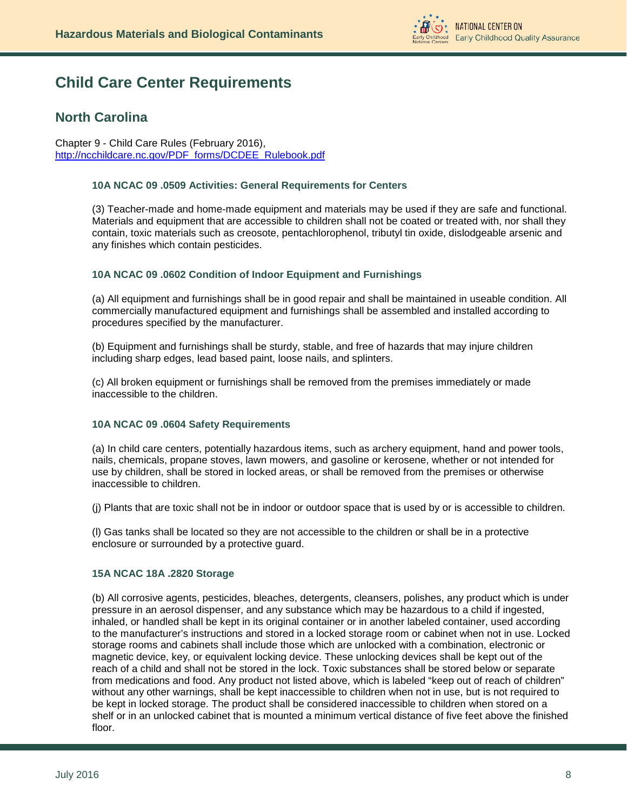

# **Child Care Center Requirements**

# **North Carolina**

Chapter 9 - Child Care Rules (February 2016), [http://ncchildcare.nc.gov/PDF\\_forms/DCDEE\\_Rulebook.pdf](http://ncchildcare.nc.gov/PDF_forms/DCDEE_Rulebook.pdf)

# **10A NCAC 09 .0509 Activities: General Requirements for Centers**

(3) Teacher-made and home-made equipment and materials may be used if they are safe and functional. Materials and equipment that are accessible to children shall not be coated or treated with, nor shall they contain, toxic materials such as creosote, pentachlorophenol, tributyl tin oxide, dislodgeable arsenic and any finishes which contain pesticides.

# **10A NCAC 09 .0602 Condition of Indoor Equipment and Furnishings**

(a) All equipment and furnishings shall be in good repair and shall be maintained in useable condition. All commercially manufactured equipment and furnishings shall be assembled and installed according to procedures specified by the manufacturer.

(b) Equipment and furnishings shall be sturdy, stable, and free of hazards that may injure children including sharp edges, lead based paint, loose nails, and splinters.

(c) All broken equipment or furnishings shall be removed from the premises immediately or made inaccessible to the children.

# **10A NCAC 09 .0604 Safety Requirements**

(a) In child care centers, potentially hazardous items, such as archery equipment, hand and power tools, nails, chemicals, propane stoves, lawn mowers, and gasoline or kerosene, whether or not intended for use by children, shall be stored in locked areas, or shall be removed from the premises or otherwise inaccessible to children.

(j) Plants that are toxic shall not be in indoor or outdoor space that is used by or is accessible to children.

(l) Gas tanks shall be located so they are not accessible to the children or shall be in a protective enclosure or surrounded by a protective guard.

#### **15A NCAC 18A .2820 Storage**

(b) All corrosive agents, pesticides, bleaches, detergents, cleansers, polishes, any product which is under pressure in an aerosol dispenser, and any substance which may be hazardous to a child if ingested, inhaled, or handled shall be kept in its original container or in another labeled container, used according to the manufacturer's instructions and stored in a locked storage room or cabinet when not in use. Locked storage rooms and cabinets shall include those which are unlocked with a combination, electronic or magnetic device, key, or equivalent locking device. These unlocking devices shall be kept out of the reach of a child and shall not be stored in the lock. Toxic substances shall be stored below or separate from medications and food. Any product not listed above, which is labeled "keep out of reach of children" without any other warnings, shall be kept inaccessible to children when not in use, but is not required to be kept in locked storage. The product shall be considered inaccessible to children when stored on a shelf or in an unlocked cabinet that is mounted a minimum vertical distance of five feet above the finished floor.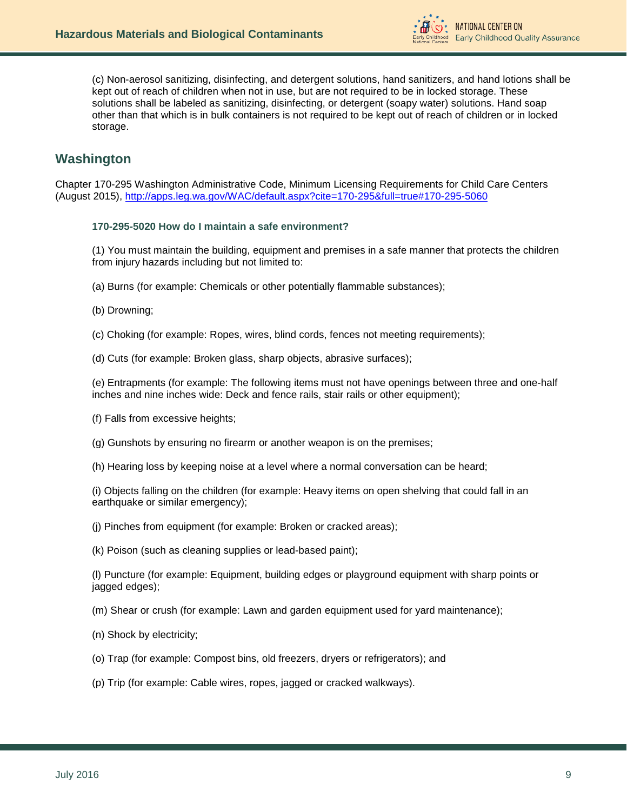

(c) Non-aerosol sanitizing, disinfecting, and detergent solutions, hand sanitizers, and hand lotions shall be kept out of reach of children when not in use, but are not required to be in locked storage. These solutions shall be labeled as sanitizing, disinfecting, or detergent (soapy water) solutions. Hand soap other than that which is in bulk containers is not required to be kept out of reach of children or in locked storage.

# **Washington**

Chapter 170-295 Washington Administrative Code, Minimum Licensing Requirements for Child Care Centers (August 2015), [http://apps.leg.wa.gov/WAC/default.aspx?cite=170-295&full=true#170-295-5060](http://apps.leg.wa.gov/WAC/default.aspx?cite=170-295&full=true%23170-295-5060)

### **170-295-5020 How do I maintain a safe environment?**

(1) You must maintain the building, equipment and premises in a safe manner that protects the children from injury hazards including but not limited to:

- (a) Burns (for example: Chemicals or other potentially flammable substances);
- (b) Drowning;
- (c) Choking (for example: Ropes, wires, blind cords, fences not meeting requirements);
- (d) Cuts (for example: Broken glass, sharp objects, abrasive surfaces);

(e) Entrapments (for example: The following items must not have openings between three and one-half inches and nine inches wide: Deck and fence rails, stair rails or other equipment);

- (f) Falls from excessive heights;
- (g) Gunshots by ensuring no firearm or another weapon is on the premises;
- (h) Hearing loss by keeping noise at a level where a normal conversation can be heard;

(i) Objects falling on the children (for example: Heavy items on open shelving that could fall in an earthquake or similar emergency);

- (j) Pinches from equipment (for example: Broken or cracked areas);
- (k) Poison (such as cleaning supplies or lead-based paint);

(l) Puncture (for example: Equipment, building edges or playground equipment with sharp points or jagged edges);

- (m) Shear or crush (for example: Lawn and garden equipment used for yard maintenance);
- (n) Shock by electricity;
- (o) Trap (for example: Compost bins, old freezers, dryers or refrigerators); and
- (p) Trip (for example: Cable wires, ropes, jagged or cracked walkways).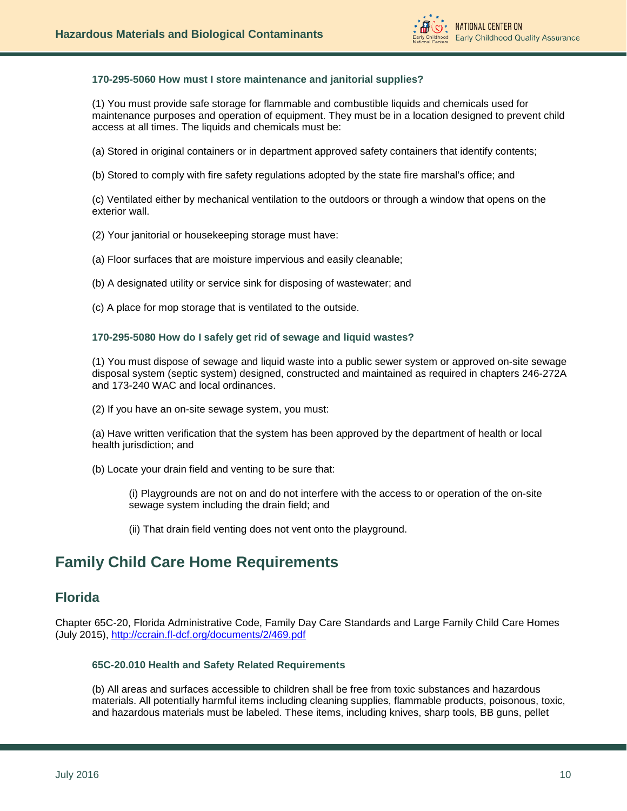

# **170-295-5060 How must I store maintenance and janitorial supplies?**

(1) You must provide safe storage for flammable and combustible liquids and chemicals used for maintenance purposes and operation of equipment. They must be in a location designed to prevent child access at all times. The liquids and chemicals must be:

(a) Stored in original containers or in department approved safety containers that identify contents;

(b) Stored to comply with fire safety regulations adopted by the state fire marshal's office; and

(c) Ventilated either by mechanical ventilation to the outdoors or through a window that opens on the exterior wall.

(2) Your janitorial or housekeeping storage must have:

(a) Floor surfaces that are moisture impervious and easily cleanable;

(b) A designated utility or service sink for disposing of wastewater; and

(c) A place for mop storage that is ventilated to the outside.

**170-295-5080 How do I safely get rid of sewage and liquid wastes?**

(1) You must dispose of sewage and liquid waste into a public sewer system or approved on-site sewage disposal system (septic system) designed, constructed and maintained as required in chapters [246-272A](http://apps.leg.wa.gov/WAC/default.aspx?cite=246-272A) and 173-240 WAC and local ordinances.

(2) If you have an on-site sewage system, you must:

(a) Have written verification that the system has been approved by the department of health or local health jurisdiction; and

(b) Locate your drain field and venting to be sure that:

(i) Playgrounds are not on and do not interfere with the access to or operation of the on-site sewage system including the drain field; and

(ii) That drain field venting does not vent onto the playground.

# **Family Child Care Home Requirements**

# **Florida**

Chapter 65C-20, Florida Administrative Code, Family Day Care Standards and Large Family Child Care Homes (July 2015),<http://ccrain.fl-dcf.org/documents/2/469.pdf>

# **65C-20.010 Health and Safety Related Requirements**

(b) All areas and surfaces accessible to children shall be free from toxic substances and hazardous materials. All potentially harmful items including cleaning supplies, flammable products, poisonous, toxic, and hazardous materials must be labeled. These items, including knives, sharp tools, BB guns, pellet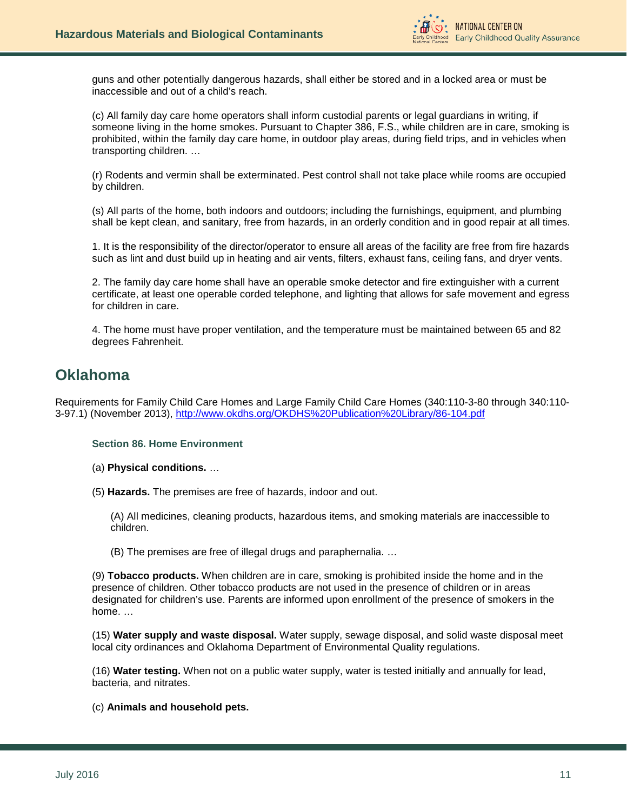

guns and other potentially dangerous hazards, shall either be stored and in a locked area or must be inaccessible and out of a child's reach.

(c) All family day care home operators shall inform custodial parents or legal guardians in writing, if someone living in the home smokes. Pursuant to Chapter 386, F.S., while children are in care, smoking is prohibited, within the family day care home, in outdoor play areas, during field trips, and in vehicles when transporting children. …

(r) Rodents and vermin shall be exterminated. Pest control shall not take place while rooms are occupied by children.

(s) All parts of the home, both indoors and outdoors; including the furnishings, equipment, and plumbing shall be kept clean, and sanitary, free from hazards, in an orderly condition and in good repair at all times.

1. It is the responsibility of the director/operator to ensure all areas of the facility are free from fire hazards such as lint and dust build up in heating and air vents, filters, exhaust fans, ceiling fans, and dryer vents.

2. The family day care home shall have an operable smoke detector and fire extinguisher with a current certificate, at least one operable corded telephone, and lighting that allows for safe movement and egress for children in care.

4. The home must have proper ventilation, and the temperature must be maintained between 65 and 82 degrees Fahrenheit.

# **Oklahoma**

Requirements for Family Child Care Homes and Large Family Child Care Homes (340:110-3-80 through 340:110- 3-97.1) (November 2013),<http://www.okdhs.org/OKDHS%20Publication%20Library/86-104.pdf>

#### **Section 86. Home Environment**

(a) **Physical conditions.** …

(5) **Hazards.** The premises are free of hazards, indoor and out.

(A) All medicines, cleaning products, hazardous items, and smoking materials are inaccessible to children.

(B) The premises are free of illegal drugs and paraphernalia. …

(9) **Tobacco products.** When children are in care, smoking is prohibited inside the home and in the presence of children. Other tobacco products are not used in the presence of children or in areas designated for children's use. Parents are informed upon enrollment of the presence of smokers in the home. …

(15) **Water supply and waste disposal.** Water supply, sewage disposal, and solid waste disposal meet local city ordinances and Oklahoma Department of Environmental Quality regulations.

(16) **Water testing.** When not on a public water supply, water is tested initially and annually for lead, bacteria, and nitrates.

(c) **Animals and household pets.**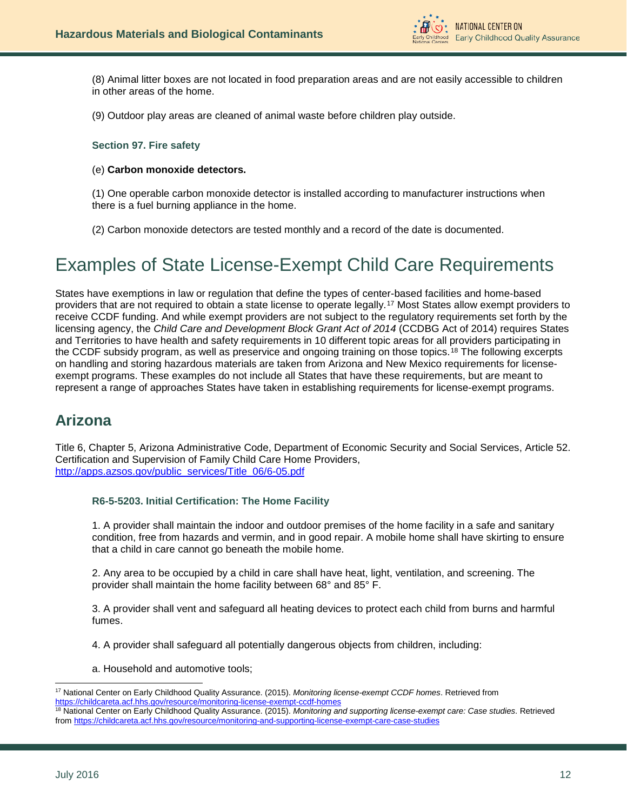

(8) Animal litter boxes are not located in food preparation areas and are not easily accessible to children in other areas of the home.

(9) Outdoor play areas are cleaned of animal waste before children play outside.

#### **Section 97. Fire safety**

#### (e) **Carbon monoxide detectors.**

(1) One operable carbon monoxide detector is installed according to manufacturer instructions when there is a fuel burning appliance in the home.

(2) Carbon monoxide detectors are tested monthly and a record of the date is documented.

# <span id="page-11-0"></span>Examples of State License-Exempt Child Care Requirements

States have exemptions in law or regulation that define the types of center-based facilities and home-based providers that are not required to obtain a state license to operate legally.[17](#page-11-1) Most States allow exempt providers to receive CCDF funding. And while exempt providers are not subject to the regulatory requirements set forth by the licensing agency, the *Child Care and Development Block Grant Act of 2014* (CCDBG Act of 2014) requires States and Territories to have health and safety requirements in 10 different topic areas for all providers participating in the CCDF subsidy program, as well as preservice and ongoing training on those topics.[18](#page-11-2) The following excerpts on handling and storing hazardous materials are taken from Arizona and New Mexico requirements for licenseexempt programs. These examples do not include all States that have these requirements, but are meant to represent a range of approaches States have taken in establishing requirements for license-exempt programs.

# **Arizona**

Title 6, Chapter 5, Arizona Administrative Code, Department of Economic Security and Social Services, Article 52. Certification and Supervision of Family Child Care Home Providers, [http://apps.azsos.gov/public\\_services/Title\\_06/6-05.pdf](http://apps.azsos.gov/public_services/Title_06/6-05.pdf)

### **R6-5-5203. Initial Certification: The Home Facility**

1. A provider shall maintain the indoor and outdoor premises of the home facility in a safe and sanitary condition, free from hazards and vermin, and in good repair. A mobile home shall have skirting to ensure that a child in care cannot go beneath the mobile home.

2. Any area to be occupied by a child in care shall have heat, light, ventilation, and screening. The provider shall maintain the home facility between 68° and 85° F.

3. A provider shall vent and safeguard all heating devices to protect each child from burns and harmful fumes.

4. A provider shall safeguard all potentially dangerous objects from children, including:

a. Household and automotive tools;

<span id="page-11-1"></span><sup>17</sup> National Center on Early Childhood Quality Assurance. (2015). *Monitoring license-exempt CCDF homes*. Retrieved from <https://childcareta.acf.hhs.gov/resource/monitoring-license-exempt-ccdf-homes> j

<span id="page-11-2"></span><sup>18</sup> National Center on Early Childhood Quality Assurance. (2015). *Monitoring and supporting license-exempt care: Case studies*. Retrieved from<https://childcareta.acf.hhs.gov/resource/monitoring-and-supporting-license-exempt-care-case-studies>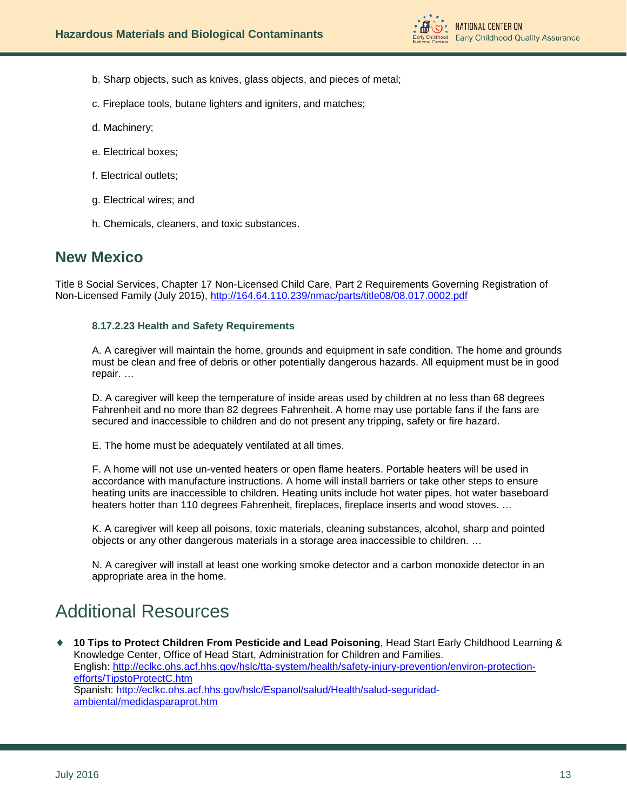

- b. Sharp objects, such as knives, glass objects, and pieces of metal;
- c. Fireplace tools, butane lighters and igniters, and matches;
- d. Machinery;
- e. Electrical boxes;
- f. Electrical outlets;
- g. Electrical wires; and
- h. Chemicals, cleaners, and toxic substances.

# **New Mexico**

Title 8 Social Services, Chapter 17 Non-Licensed Child Care, Part 2 Requirements Governing Registration of Non-Licensed Family (July 2015),<http://164.64.110.239/nmac/parts/title08/08.017.0002.pdf>

# **8.17.2.23 Health and Safety Requirements**

A. A caregiver will maintain the home, grounds and equipment in safe condition. The home and grounds must be clean and free of debris or other potentially dangerous hazards. All equipment must be in good repair. …

D. A caregiver will keep the temperature of inside areas used by children at no less than 68 degrees Fahrenheit and no more than 82 degrees Fahrenheit. A home may use portable fans if the fans are secured and inaccessible to children and do not present any tripping, safety or fire hazard.

E. The home must be adequately ventilated at all times.

F. A home will not use un-vented heaters or open flame heaters. Portable heaters will be used in accordance with manufacture instructions. A home will install barriers or take other steps to ensure heating units are inaccessible to children. Heating units include hot water pipes, hot water baseboard heaters hotter than 110 degrees Fahrenheit, fireplaces, fireplace inserts and wood stoves. …

K. A caregiver will keep all poisons, toxic materials, cleaning substances, alcohol, sharp and pointed objects or any other dangerous materials in a storage area inaccessible to children. …

N. A caregiver will install at least one working smoke detector and a carbon monoxide detector in an appropriate area in the home.

# <span id="page-12-0"></span>Additional Resources

♦ **10 Tips to Protect Children From Pesticide and Lead Poisoning**, Head Start Early Childhood Learning & Knowledge Center, Office of Head Start, Administration for Children and Families. English: [http://eclkc.ohs.acf.hhs.gov/hslc/tta-system/health/safety-injury-prevention/environ-protection](http://eclkc.ohs.acf.hhs.gov/hslc/tta-system/health/safety-injury-prevention/environ-protection-efforts/TipstoProtectC.htm)[efforts/TipstoProtectC.htm](http://eclkc.ohs.acf.hhs.gov/hslc/tta-system/health/safety-injury-prevention/environ-protection-efforts/TipstoProtectC.htm) Spanish: [http://eclkc.ohs.acf.hhs.gov/hslc/Espanol/salud/Health/salud-seguridad](http://eclkc.ohs.acf.hhs.gov/hslc/Espanol/salud/Health/salud-seguridad-ambiental/medidasparaprot.htm)[ambiental/medidasparaprot.htm](http://eclkc.ohs.acf.hhs.gov/hslc/Espanol/salud/Health/salud-seguridad-ambiental/medidasparaprot.htm)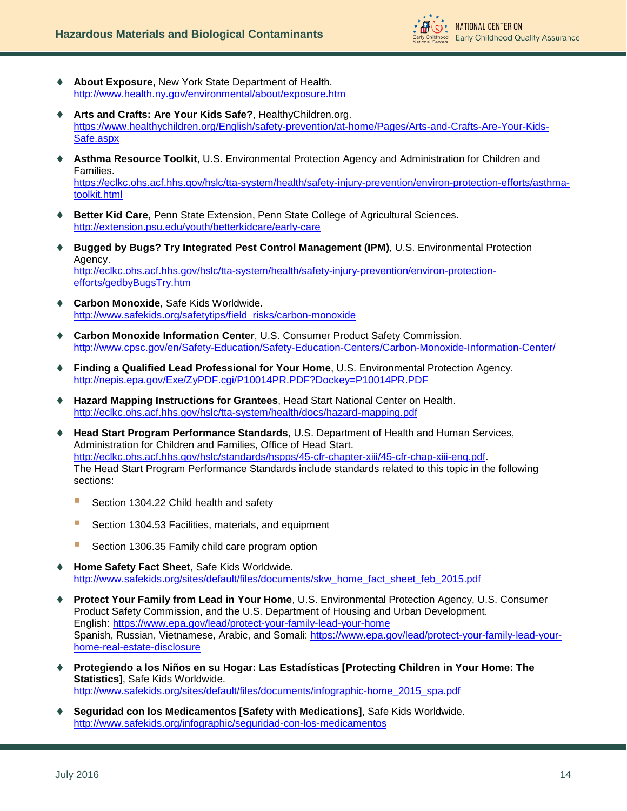

- About Exposure, New York State Department of Health. <http://www.health.ny.gov/environmental/about/exposure.htm>
- Arts and Crafts: Are Your Kids Safe?, HealthyChildren.org. [https://www.healthychildren.org/English/safety-prevention/at-home/Pages/Arts-and-Crafts-Are-Your-Kids-](https://www.healthychildren.org/English/safety-prevention/at-home/Pages/Arts-and-Crafts-Are-Your-Kids-Safe.aspx)[Safe.aspx](https://www.healthychildren.org/English/safety-prevention/at-home/Pages/Arts-and-Crafts-Are-Your-Kids-Safe.aspx)
- Asthma Resource Toolkit, U.S. Environmental Protection Agency and Administration for Children and Families. [https://eclkc.ohs.acf.hhs.gov/hslc/tta-system/health/safety-injury-prevention/environ-protection-efforts/asthma](https://eclkc.ohs.acf.hhs.gov/hslc/tta-system/health/safety-injury-prevention/environ-protection-efforts/asthma-toolkit.html)[toolkit.html](https://eclkc.ohs.acf.hhs.gov/hslc/tta-system/health/safety-injury-prevention/environ-protection-efforts/asthma-toolkit.html)
- ♦ **Better Kid Care**, Penn State Extension, Penn State College of Agricultural Sciences. <http://extension.psu.edu/youth/betterkidcare/early-care>
- ♦ **Bugged by Bugs? Try Integrated Pest Control Management (IPM)**, U.S. Environmental Protection Agency. [http://eclkc.ohs.acf.hhs.gov/hslc/tta-system/health/safety-injury-prevention/environ-protection](http://eclkc.ohs.acf.hhs.gov/hslc/tta-system/health/safety-injury-prevention/environ-protection-efforts/gedbyBugsTry.htm)[efforts/gedbyBugsTry.htm](http://eclkc.ohs.acf.hhs.gov/hslc/tta-system/health/safety-injury-prevention/environ-protection-efforts/gedbyBugsTry.htm)
- ♦ **Carbon Monoxide**, Safe Kids Worldwide. [http://www.safekids.org/safetytips/field\\_risks/carbon-monoxide](http://www.safekids.org/safetytips/field_risks/carbon-monoxide)
- ♦ **Carbon Monoxide Information Center**, U.S. Consumer Product Safety Commission. <http://www.cpsc.gov/en/Safety-Education/Safety-Education-Centers/Carbon-Monoxide-Information-Center/>
- ♦ **Finding a Qualified Lead Professional for Your Home**, U.S. Environmental Protection Agency. <http://nepis.epa.gov/Exe/ZyPDF.cgi/P10014PR.PDF?Dockey=P10014PR.PDF>
- ♦ **Hazard Mapping Instructions for Grantees**, Head Start National Center on Health. <http://eclkc.ohs.acf.hhs.gov/hslc/tta-system/health/docs/hazard-mapping.pdf>
- ♦ **Head Start Program Performance Standards**, U.S. Department of Health and Human Services, Administration for Children and Families, Office of Head Start. [http://eclkc.ohs.acf.hhs.gov/hslc/standards/hspps/45-cfr-chapter-xiii/45-cfr-chap-xiii-eng.pdf.](http://eclkc.ohs.acf.hhs.gov/hslc/standards/hspps/45-cfr-chapter-xiii/45-cfr-chap-xiii-eng.pdf) The Head Start Program Performance Standards include standards related to this topic in the following sections:
	- Section 1304.22 Child health and safety
	- Section 1304.53 Facilities, materials, and equipment
	- Section 1306.35 Family child care program option
- **Home Safety Fact Sheet**, Safe Kids Worldwide. [http://www.safekids.org/sites/default/files/documents/skw\\_home\\_fact\\_sheet\\_feb\\_2015.pdf](http://www.safekids.org/sites/default/files/documents/skw_home_fact_sheet_feb_2015.pdf)
- ♦ **Protect Your Family from Lead in Your Home**, U.S. Environmental Protection Agency, U.S. Consumer Product Safety Commission, and the U.S. Department of Housing and Urban Development. English:<https://www.epa.gov/lead/protect-your-family-lead-your-home> Spanish, Russian, Vietnamese, Arabic, and Somali: [https://www.epa.gov/lead/protect-your-family-lead-your](https://www.epa.gov/lead/protect-your-family-lead-your-home-real-estate-disclosure)[home-real-estate-disclosure](https://www.epa.gov/lead/protect-your-family-lead-your-home-real-estate-disclosure)
- ♦ **Protegiendo a los Niños en su Hogar: Las Estadísticas [Protecting Children in Your Home: The Statistics]**, Safe Kids Worldwide. [http://www.safekids.org/sites/default/files/documents/infographic-home\\_2015\\_spa.pdf](http://www.safekids.org/sites/default/files/documents/infographic-home_2015_spa.pdf)
- **Seguridad con los Medicamentos [Safety with Medications]**, Safe Kids Worldwide. <http://www.safekids.org/infographic/seguridad-con-los-medicamentos>